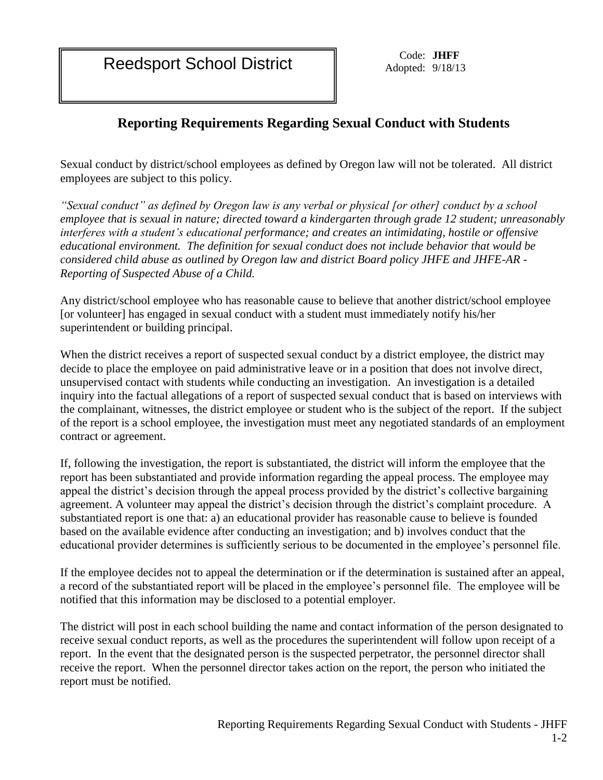Reedsport School District Code: JHFF<br>Adopted: 9/18/1

Adopted: 9/18/13

## **Reporting Requirements Regarding Sexual Conduct with Students**

Sexual conduct by district/school employees as defined by Oregon law will not be tolerated. All district employees are subject to this policy.

*"Sexual conduct" as defined by Oregon law is any verbal or physical [or other] conduct by a school employee that is sexual in nature; directed toward a kindergarten through grade 12 student; unreasonably interferes with a student's educational performance; and creates an intimidating, hostile or offensive educational environment. The definition for sexual conduct does not include behavior that would be considered child abuse as outlined by Oregon law and district Board policy JHFE and JHFE-AR - Reporting of Suspected Abuse of a Child.*

Any district/school employee who has reasonable cause to believe that another district/school employee [or volunteer] has engaged in sexual conduct with a student must immediately notify his/her superintendent or building principal.

When the district receives a report of suspected sexual conduct by a district employee, the district may decide to place the employee on paid administrative leave or in a position that does not involve direct, unsupervised contact with students while conducting an investigation. An investigation is a detailed inquiry into the factual allegations of a report of suspected sexual conduct that is based on interviews with the complainant, witnesses, the district employee or student who is the subject of the report. If the subject of the report is a school employee, the investigation must meet any negotiated standards of an employment contract or agreement.

If, following the investigation, the report is substantiated, the district will inform the employee that the report has been substantiated and provide information regarding the appeal process. The employee may appeal the district's decision through the appeal process provided by the district's collective bargaining agreement. A volunteer may appeal the district's decision through the district's complaint procedure. A substantiated report is one that: a) an educational provider has reasonable cause to believe is founded based on the available evidence after conducting an investigation; and b) involves conduct that the educational provider determines is sufficiently serious to be documented in the employee's personnel file.

If the employee decides not to appeal the determination or if the determination is sustained after an appeal, a record of the substantiated report will be placed in the employee's personnel file. The employee will be notified that this information may be disclosed to a potential employer.

The district will post in each school building the name and contact information of the person designated to receive sexual conduct reports, as well as the procedures the superintendent will follow upon receipt of a report. In the event that the designated person is the suspected perpetrator, the personnel director shall receive the report. When the personnel director takes action on the report, the person who initiated the report must be notified.